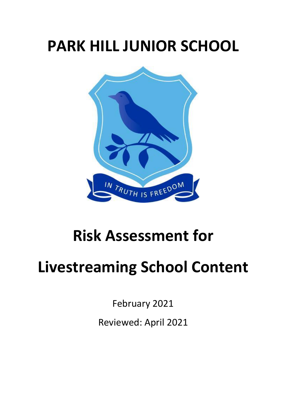## **PARK HILL JUNIOR SCHOOL**



## **Risk Assessment for**

## **Livestreaming School Content**

February 2021

Reviewed: April 2021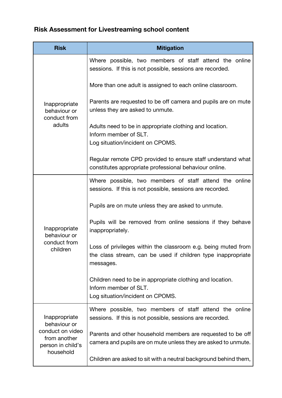## **Risk Assessment for Livestreaming school content**

| <b>Risk</b>                                                                                         | <b>Mitigation</b>                                                                                                                          |
|-----------------------------------------------------------------------------------------------------|--------------------------------------------------------------------------------------------------------------------------------------------|
| Inappropriate<br>behaviour or<br>conduct from<br>adults                                             | Where possible, two members of staff attend the online<br>sessions. If this is not possible, sessions are recorded.                        |
|                                                                                                     | More than one adult is assigned to each online classroom.                                                                                  |
|                                                                                                     | Parents are requested to be off camera and pupils are on mute<br>unless they are asked to unmute.                                          |
|                                                                                                     | Adults need to be in appropriate clothing and location.<br>Inform member of SLT.<br>Log situation/incident on CPOMS.                       |
|                                                                                                     | Regular remote CPD provided to ensure staff understand what<br>constitutes appropriate professional behaviour online.                      |
| Inappropriate<br>behaviour or<br>conduct from<br>children                                           | Where possible, two members of staff attend the online<br>sessions. If this is not possible, sessions are recorded.                        |
|                                                                                                     | Pupils are on mute unless they are asked to unmute.                                                                                        |
|                                                                                                     | Pupils will be removed from online sessions if they behave<br>inappropriately.                                                             |
|                                                                                                     | Loss of privileges within the classroom e.g. being muted from<br>the class stream, can be used if children type inappropriate<br>messages. |
|                                                                                                     | Children need to be in appropriate clothing and location.<br>Inform member of SLT.<br>Log situation/incident on CPOMS.                     |
| Inappropriate<br>behaviour or<br>conduct on video<br>from another<br>person in child's<br>household | Where possible, two members of staff attend the online<br>sessions. If this is not possible, sessions are recorded.                        |
|                                                                                                     | Parents and other household members are requested to be off<br>camera and pupils are on mute unless they are asked to unmute.              |
|                                                                                                     | Children are asked to sit with a neutral background behind them,                                                                           |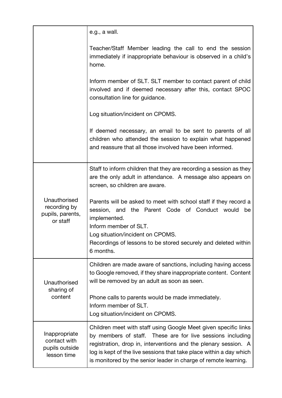|                                                                | e.g., a wall.                                                                                                                                                                                                                                                                                                                              |
|----------------------------------------------------------------|--------------------------------------------------------------------------------------------------------------------------------------------------------------------------------------------------------------------------------------------------------------------------------------------------------------------------------------------|
|                                                                | Teacher/Staff Member leading the call to end the session<br>immediately if inappropriate behaviour is observed in a child's<br>home.                                                                                                                                                                                                       |
|                                                                | Inform member of SLT. SLT member to contact parent of child<br>involved and if deemed necessary after this, contact SPOC<br>consultation line for guidance.                                                                                                                                                                                |
|                                                                | Log situation/incident on CPOMS.                                                                                                                                                                                                                                                                                                           |
|                                                                | If deemed necessary, an email to be sent to parents of all<br>children who attended the session to explain what happened<br>and reassure that all those involved have been informed.                                                                                                                                                       |
| Unauthorised<br>recording by<br>pupils, parents,<br>or staff   | Staff to inform children that they are recording a session as they<br>are the only adult in attendance. A message also appears on<br>screen, so children are aware.                                                                                                                                                                        |
|                                                                | Parents will be asked to meet with school staff if they record a<br>session, and the Parent Code of Conduct would<br>be<br>implemented.<br>Inform member of SLT.<br>Log situation/incident on CPOMS.<br>Recordings of lessons to be stored securely and deleted within<br>6 months.                                                        |
| Unauthorised<br>sharing of<br>content                          | Children are made aware of sanctions, including having access<br>to Google removed, if they share inappropriate content. Content<br>will be removed by an adult as soon as seen.                                                                                                                                                           |
|                                                                | Phone calls to parents would be made immediately.<br>Inform member of SLT.<br>Log situation/incident on CPOMS.                                                                                                                                                                                                                             |
| Inappropriate<br>contact with<br>pupils outside<br>lesson time | Children meet with staff using Google Meet given specific links<br>by members of staff. These are for live sessions including<br>registration, drop in, interventions and the plenary session. A<br>log is kept of the live sessions that take place within a day which<br>is monitored by the senior leader in charge of remote learning. |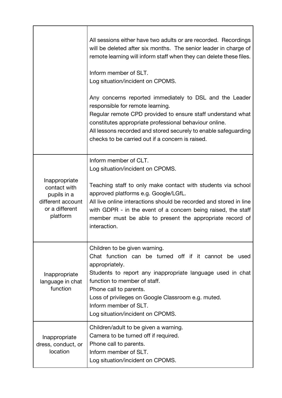|                                                                                                 | All sessions either have two adults or are recorded. Recordings<br>will be deleted after six months. The senior leader in charge of<br>remote learning will inform staff when they can delete these files.<br>Inform member of SLT.<br>Log situation/incident on CPOMS.<br>Any concerns reported immediately to DSL and the Leader<br>responsible for remote learning.<br>Regular remote CPD provided to ensure staff understand what<br>constitutes appropriate professional behaviour online.<br>All lessons recorded and stored securely to enable safeguarding<br>checks to be carried out if a concern is raised. |
|-------------------------------------------------------------------------------------------------|------------------------------------------------------------------------------------------------------------------------------------------------------------------------------------------------------------------------------------------------------------------------------------------------------------------------------------------------------------------------------------------------------------------------------------------------------------------------------------------------------------------------------------------------------------------------------------------------------------------------|
| Inappropriate<br>contact with<br>pupils in a<br>different account<br>or a different<br>platform | Inform member of CLT.<br>Log situation/incident on CPOMS.<br>Teaching staff to only make contact with students via school<br>approved platforms e.g. Google/LGfL.<br>All live online interactions should be recorded and stored in line<br>with GDPR - in the event of a concern being raised, the staff<br>member must be able to present the appropriate record of<br>interaction.                                                                                                                                                                                                                                   |
| Inappropriate<br>language in chat<br>function                                                   | Children to be given warning.<br>Chat function can be turned off if it cannot be used<br>appropriately.<br>Students to report any inappropriate language used in chat<br>function to member of staff.<br>Phone call to parents.<br>Loss of privileges on Google Classroom e.g. muted.<br>Inform member of SLT.<br>Log situation/incident on CPOMS.                                                                                                                                                                                                                                                                     |
| Inappropriate<br>dress, conduct, or<br>location                                                 | Children/adult to be given a warning.<br>Camera to be turned off if required.<br>Phone call to parents.<br>Inform member of SLT.<br>Log situation/incident on CPOMS.                                                                                                                                                                                                                                                                                                                                                                                                                                                   |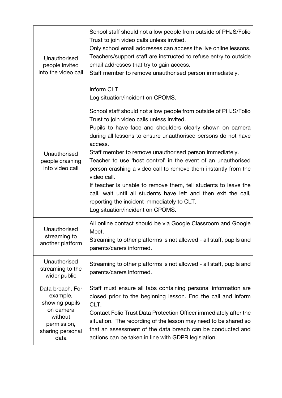| Unauthorised<br>people invited<br>into the video call                                                             | School staff should not allow people from outside of PHJS/Folio<br>Trust to join video calls unless invited.<br>Only school email addresses can access the live online lessons.<br>Teachers/support staff are instructed to refuse entry to outside<br>email addresses that try to gain access.<br>Staff member to remove unauthorised person immediately.<br>Inform CLT<br>Log situation/incident on CPOMS.                                                                                                                                                                                                                                                                               |
|-------------------------------------------------------------------------------------------------------------------|--------------------------------------------------------------------------------------------------------------------------------------------------------------------------------------------------------------------------------------------------------------------------------------------------------------------------------------------------------------------------------------------------------------------------------------------------------------------------------------------------------------------------------------------------------------------------------------------------------------------------------------------------------------------------------------------|
| Unauthorised<br>people crashing<br>into video call                                                                | School staff should not allow people from outside of PHJS/Folio<br>Trust to join video calls unless invited.<br>Pupils to have face and shoulders clearly shown on camera<br>during all lessons to ensure unauthorised persons do not have<br>access.<br>Staff member to remove unauthorised person immediately.<br>Teacher to use 'host control' in the event of an unauthorised<br>person crashing a video call to remove them instantly from the<br>video call.<br>If teacher is unable to remove them, tell students to leave the<br>call, wait until all students have left and then exit the call,<br>reporting the incident immediately to CLT.<br>Log situation/incident on CPOMS. |
| Unauthorised<br>streaming to<br>another platform                                                                  | All online contact should be via Google Classroom and Google<br>Meet.<br>Streaming to other platforms is not allowed - all staff, pupils and<br>parents/carers informed.                                                                                                                                                                                                                                                                                                                                                                                                                                                                                                                   |
| Unauthorised<br>streaming to the<br>wider public                                                                  | Streaming to other platforms is not allowed - all staff, pupils and<br>parents/carers informed.                                                                                                                                                                                                                                                                                                                                                                                                                                                                                                                                                                                            |
| Data breach. For<br>example,<br>showing pupils<br>on camera<br>without<br>permission,<br>sharing personal<br>data | Staff must ensure all tabs containing personal information are<br>closed prior to the beginning lesson. End the call and inform<br>CLT.<br>Contact Folio Trust Data Protection Officer immediately after the<br>situation. The recording of the lesson may need to be shared so<br>that an assessment of the data breach can be conducted and<br>actions can be taken in line with GDPR legislation.                                                                                                                                                                                                                                                                                       |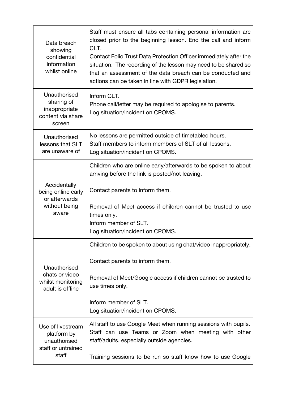| Data breach<br>showing<br>confidential<br>information<br>whilst online          | Staff must ensure all tabs containing personal information are<br>closed prior to the beginning lesson. End the call and inform<br>CLT.<br>Contact Folio Trust Data Protection Officer immediately after the<br>situation. The recording of the lesson may need to be shared so<br>that an assessment of the data breach can be conducted and<br>actions can be taken in line with GDPR legislation. |
|---------------------------------------------------------------------------------|------------------------------------------------------------------------------------------------------------------------------------------------------------------------------------------------------------------------------------------------------------------------------------------------------------------------------------------------------------------------------------------------------|
| Unauthorised<br>sharing of<br>inappropriate<br>content via share<br>screen      | Inform CLT.<br>Phone call/letter may be required to apologise to parents.<br>Log situation/incident on CPOMS.                                                                                                                                                                                                                                                                                        |
| Unauthorised<br>lessons that SLT<br>are unaware of                              | No lessons are permitted outside of timetabled hours.<br>Staff members to inform members of SLT of all lessons.<br>Log situation/incident on CPOMS.                                                                                                                                                                                                                                                  |
| Accidentally<br>being online early<br>or afterwards<br>without being<br>aware   | Children who are online early/afterwards to be spoken to about<br>arriving before the link is posted/not leaving.<br>Contact parents to inform them.<br>Removal of Meet access if children cannot be trusted to use                                                                                                                                                                                  |
|                                                                                 | times only.<br>Inform member of SLT.<br>Log situation/incident on CPOMS.                                                                                                                                                                                                                                                                                                                             |
| Unauthorised<br>chats or video<br>whilst monitoring<br>adult is offline         | Children to be spoken to about using chat/video inappropriately.<br>Contact parents to inform them.<br>Removal of Meet/Google access if children cannot be trusted to<br>use times only.<br>Inform member of SLT.<br>Log situation/incident on CPOMS.                                                                                                                                                |
| Use of livestream<br>platform by<br>unauthorised<br>staff or untrained<br>staff | All staff to use Google Meet when running sessions with pupils.<br>Staff can use Teams or Zoom when meeting with other<br>staff/adults, especially outside agencies.<br>Training sessions to be run so staff know how to use Google                                                                                                                                                                  |